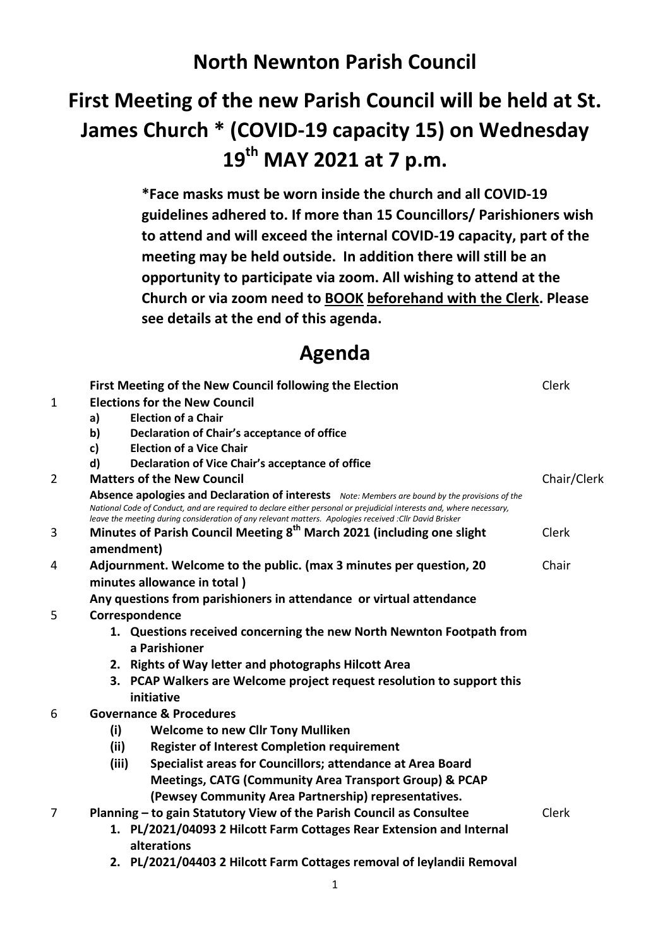## **North Newnton Parish Council**

# **First Meeting of the new Parish Council will be held at St. James Church \* (COVID-19 capacity 15) on Wednesday 19th MAY 2021 at 7 p.m.**

**\*Face masks must be worn inside the church and all COVID-19 guidelines adhered to. If more than 15 Councillors/ Parishioners wish to attend and will exceed the internal COVID-19 capacity, part of the meeting may be held outside. In addition there will still be an opportunity to participate via zoom. All wishing to attend at the Church or via zoom need to BOOK beforehand with the Clerk. Please see details at the end of this agenda.**

### **Agenda**

|   |                                                                                                                                                                                                                                                                                                                                    | First Meeting of the New Council following the Election                | Clerk       |
|---|------------------------------------------------------------------------------------------------------------------------------------------------------------------------------------------------------------------------------------------------------------------------------------------------------------------------------------|------------------------------------------------------------------------|-------------|
| 1 | <b>Elections for the New Council</b>                                                                                                                                                                                                                                                                                               |                                                                        |             |
|   | a)                                                                                                                                                                                                                                                                                                                                 | <b>Election of a Chair</b>                                             |             |
|   | $\mathbf{b}$                                                                                                                                                                                                                                                                                                                       | Declaration of Chair's acceptance of office                            |             |
|   | c)                                                                                                                                                                                                                                                                                                                                 | <b>Election of a Vice Chair</b>                                        |             |
|   | d)                                                                                                                                                                                                                                                                                                                                 | Declaration of Vice Chair's acceptance of office                       |             |
| 2 | <b>Matters of the New Council</b>                                                                                                                                                                                                                                                                                                  |                                                                        | Chair/Clerk |
|   | Absence apologies and Declaration of interests Note: Members are bound by the provisions of the<br>National Code of Conduct, and are required to declare either personal or prejudicial interests and, where necessary,<br>leave the meeting during consideration of any relevant matters. Apologies received : Cllr David Brisker |                                                                        |             |
| 3 | Minutes of Parish Council Meeting 8 <sup>th</sup> March 2021 (including one slight                                                                                                                                                                                                                                                 |                                                                        |             |
|   | amendment)                                                                                                                                                                                                                                                                                                                         |                                                                        |             |
| 4 | Adjournment. Welcome to the public. (max 3 minutes per question, 20<br>Chair                                                                                                                                                                                                                                                       |                                                                        |             |
|   | minutes allowance in total)                                                                                                                                                                                                                                                                                                        |                                                                        |             |
|   | Any questions from parishioners in attendance or virtual attendance                                                                                                                                                                                                                                                                |                                                                        |             |
| 5 | Correspondence                                                                                                                                                                                                                                                                                                                     |                                                                        |             |
|   |                                                                                                                                                                                                                                                                                                                                    | 1. Questions received concerning the new North Newnton Footpath from   |             |
|   |                                                                                                                                                                                                                                                                                                                                    | a Parishioner                                                          |             |
|   |                                                                                                                                                                                                                                                                                                                                    | 2. Rights of Way letter and photographs Hilcott Area                   |             |
|   |                                                                                                                                                                                                                                                                                                                                    | 3. PCAP Walkers are Welcome project request resolution to support this |             |
|   | initiative                                                                                                                                                                                                                                                                                                                         |                                                                        |             |
| 6 | <b>Governance &amp; Procedures</b>                                                                                                                                                                                                                                                                                                 |                                                                        |             |
|   | (i)                                                                                                                                                                                                                                                                                                                                | <b>Welcome to new Cllr Tony Mulliken</b>                               |             |
|   | (ii)                                                                                                                                                                                                                                                                                                                               | <b>Register of Interest Completion requirement</b>                     |             |
|   | (iii)                                                                                                                                                                                                                                                                                                                              | Specialist areas for Councillors; attendance at Area Board             |             |
|   |                                                                                                                                                                                                                                                                                                                                    | <b>Meetings, CATG (Community Area Transport Group) &amp; PCAP</b>      |             |
|   |                                                                                                                                                                                                                                                                                                                                    | (Pewsey Community Area Partnership) representatives.                   |             |
| 7 | Planning - to gain Statutory View of the Parish Council as Consultee                                                                                                                                                                                                                                                               |                                                                        |             |
|   | 1. PL/2021/04093 2 Hilcott Farm Cottages Rear Extension and Internal<br>alterations                                                                                                                                                                                                                                                |                                                                        |             |
|   |                                                                                                                                                                                                                                                                                                                                    | 2. PL/2021/04403 2 Hilcott Farm Cottages removal of leylandii Removal  |             |